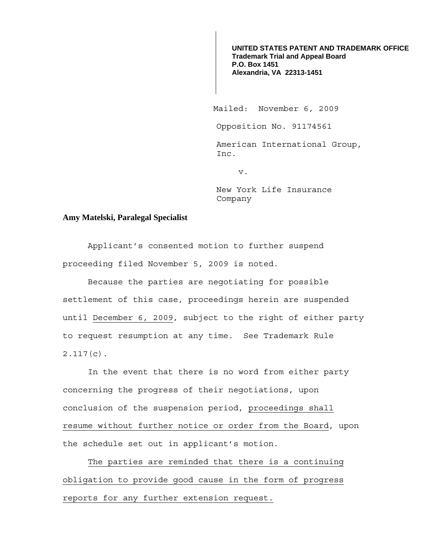**UNITED STATES PATENT AND TRADEMARK OFFICE Trademark Trial and Appeal Board P.O. Box 1451 Alexandria, VA 22313-1451**

Mailed: November 6, 2009

Opposition No. 91174561

American International Group, Inc.

v.

New York Life Insurance Company

## **Amy Matelski, Paralegal Specialist**

Applicant's consented motion to further suspend proceeding filed November 5, 2009 is noted.

Because the parties are negotiating for possible settlement of this case, proceedings herein are suspended until December 6, 2009, subject to the right of either party to request resumption at any time. See Trademark Rule 2.117(c).

In the event that there is no word from either party concerning the progress of their negotiations, upon conclusion of the suspension period, proceedings shall resume without further notice or order from the Board, upon the schedule set out in applicant's motion.

 The parties are reminded that there is a continuing obligation to provide good cause in the form of progress reports for any further extension request.